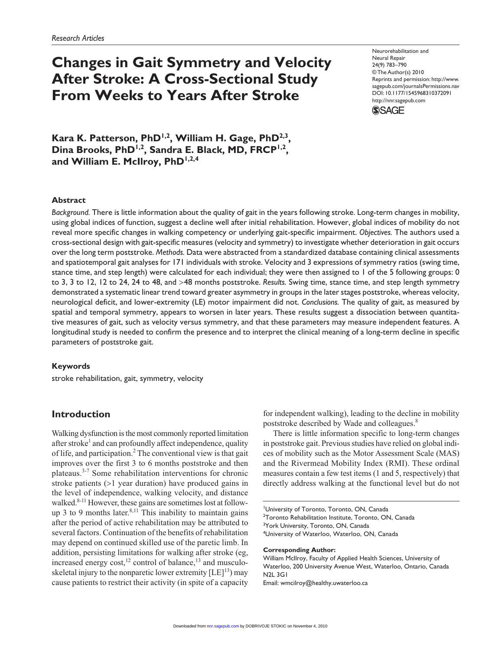# **Changes in Gait Symmetry and Velocity After Stroke: A Cross-Sectional Study From Weeks to Years After Stroke**

Neurorehabilitation and Neural Repair 24(9) 783–790 © The Author(s) 2010 Reprints and permission: http://www. sagepub.com/journalsPermissions.nav DOI: 10.1177/1545968310372091 http://nnr.sagepub.com



Kara K. Patterson, PhD<sup>1,2</sup>, William H. Gage, PhD<sup>2,3</sup>, Dina Brooks, PhD<sup>1,2</sup>, Sandra E. Black, MD, FRCP<sup>1,2</sup>, and William E. McIlroy, PhD<sup>1,2,4</sup>

### **Abstract**

*Background.* There is little information about the quality of gait in the years following stroke. Long-term changes in mobility, using global indices of function, suggest a decline well after initial rehabilitation. However, global indices of mobility do not reveal more specific changes in walking competency or underlying gait-specific impairment. *Objectives.* The authors used a cross-sectional design with gait-specific measures (velocity and symmetry) to investigate whether deterioration in gait occurs over the long term poststroke. *Methods.* Data were abstracted from a standardized database containing clinical assessments and spatiotemporal gait analyses for 171 individuals with stroke. Velocity and 3 expressions of symmetry ratios (swing time, stance time, and step length) were calculated for each individual; they were then assigned to 1 of the 5 following groups: 0 to 3, 3 to 12, 12 to 24, 24 to 48, and >48 months poststroke. *Results.* Swing time, stance time, and step length symmetry demonstrated a systematic linear trend toward greater asymmetry in groups in the later stages poststroke, whereas velocity, neurological deficit, and lower-extremity (LE) motor impairment did not. *Conclusions.* The quality of gait, as measured by spatial and temporal symmetry, appears to worsen in later years. These results suggest a dissociation between quantitative measures of gait, such as velocity versus symmetry, and that these parameters may measure independent features. A longitudinal study is needed to confirm the presence and to interpret the clinical meaning of a long-term decline in specific parameters of poststroke gait.

#### **Keywords**

stroke rehabilitation, gait, symmetry, velocity

## **Introduction**

Walking dysfunction is the most commonly reported limitation after stroke<sup>1</sup> and can profoundly affect independence, quality of life, and participation.<sup>2</sup> The conventional view is that gait improves over the first 3 to 6 months poststroke and then plateaus.3-7 Some rehabilitation interventions for chronic stroke patients (>1 year duration) have produced gains in the level of independence, walking velocity, and distance walked.<sup>8-11</sup> However, these gains are sometimes lost at followup 3 to 9 months later. $8,11$  This inability to maintain gains after the period of active rehabilitation may be attributed to several factors. Continuation of the benefits of rehabilitation may depend on continued skilled use of the paretic limb. In addition, persisting limitations for walking after stroke (eg, increased energy  $cost<sub>12</sub>$  control of balance,<sup>13</sup> and musculoskeletal injury to the nonparetic lower extremity  $[LE]^{13}$  may cause patients to restrict their activity (in spite of a capacity

for independent walking), leading to the decline in mobility poststroke described by Wade and colleagues.8

There is little information specific to long-term changes in poststroke gait. Previous studies have relied on global indices of mobility such as the Motor Assessment Scale (MAS) and the Rivermead Mobility Index (RMI). These ordinal measures contain a few test items (1 and 5, respectively) that directly address walking at the functional level but do not

#### **Corresponding Author:**

William McIlroy, Faculty of Applied Health Sciences, University of Waterloo, 200 University Avenue West, Waterloo, Ontario, Canada N2L 3G1 Email: wmcilroy@healthy.uwaterloo.ca

<sup>1</sup> University of Toronto, Toronto, ON, Canada

<sup>&</sup>lt;sup>2</sup>Toronto Rehabilitation Institute, Toronto, ON, Canada

<sup>&</sup>lt;sup>3</sup>York University, Toronto, ON, Canada

<sup>4</sup> University of Waterloo, Waterloo, ON, Canada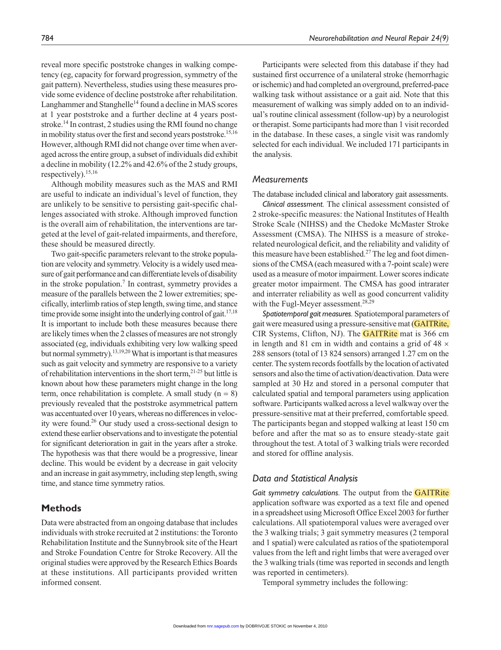reveal more specific poststroke changes in walking competency (eg, capacity for forward progression, symmetry of the gait pattern). Nevertheless, studies using these measures provide some evidence of decline poststroke after rehabilitation. Langhammer and Stanghelle<sup>14</sup> found a decline in MAS scores at 1 year poststroke and a further decline at 4 years poststroke.<sup>14</sup> In contrast, 2 studies using the RMI found no change in mobility status over the first and second years poststroke.<sup>15,16</sup> However, although RMI did not change over time when averaged across the entire group, a subset of individuals did exhibit a decline in mobility (12.2% and 42.6% of the 2 study groups, respectively).15,16

Although mobility measures such as the MAS and RMI are useful to indicate an individual's level of function, they are unlikely to be sensitive to persisting gait-specific challenges associated with stroke. Although improved function is the overall aim of rehabilitation, the interventions are targeted at the level of gait-related impairments, and therefore, these should be measured directly.

Two gait-specific parameters relevant to the stroke population are velocity and symmetry. Velocity is a widely used measure of gait performance and can differentiate levels of disability in the stroke population.<sup>7</sup> In contrast, symmetry provides a measure of the parallels between the 2 lower extremities; specifically, interlimb ratios of step length, swing time, and stance time provide some insight into the underlying control of gait. $17,18$ It is important to include both these measures because there are likely times when the 2 classes of measures are not strongly associated (eg, individuals exhibiting very low walking speed but normal symmetry).<sup>13,19,20</sup> What is important is that measures such as gait velocity and symmetry are responsive to a variety of rehabilitation interventions in the short term,<sup>21-25</sup> but little is known about how these parameters might change in the long term, once rehabilitation is complete. A small study  $(n = 8)$ previously revealed that the poststroke asymmetrical pattern was accentuated over 10 years, whereas no differences in velocity were found.26 Our study used a cross-sectional design to extend these earlier observations and to investigate the potential for significant deterioration in gait in the years after a stroke. The hypothesis was that there would be a progressive, linear decline. This would be evident by a decrease in gait velocity and an increase in gait asymmetry, including step length, swing time, and stance time symmetry ratios.

## **Methods**

Data were abstracted from an ongoing database that includes individuals with stroke recruited at 2 institutions: the Toronto Rehabilitation Institute and the Sunnybrook site of the Heart and Stroke Foundation Centre for Stroke Recovery. All the original studies were approved by the Research Ethics Boards at these institutions. All participants provided written informed consent.

Participants were selected from this database if they had sustained first occurrence of a unilateral stroke (hemorrhagic or ischemic) and had completed an overground, preferred-pace walking task without assistance or a gait aid. Note that this measurement of walking was simply added on to an individual's routine clinical assessment (follow-up) by a neurologist or therapist. Some participants had more than 1 visit recorded in the database. In these cases, a single visit was randomly selected for each individual. We included 171 participants in the analysis.

### *Measurements*

The database included clinical and laboratory gait assessments.

*Clinical assessment.* The clinical assessment consisted of 2 stroke-specific measures: the National Institutes of Health Stroke Scale (NIHSS) and the Chedoke McMaster Stroke Assessment (CMSA). The NIHSS is a measure of strokerelated neurological deficit, and the reliability and validity of this measure have been established.<sup>27</sup> The leg and foot dimensions of the CMSA (each measured with a 7-point scale) were used as a measure of motor impairment. Lower scores indicate greater motor impairment. The CMSA has good intrarater and interrater reliability as well as good concurrent validity with the Fugl-Meyer assessment.<sup>28,29</sup>

*Spatiotemporal gait measures.* Spatiotemporal parameters of gait were measured using a pressure-sensitive mat (GAITRite, CIR Systems, Clifton, NJ). The GAITRite mat is 366 cm in length and 81 cm in width and contains a grid of  $48 \times$ 288 sensors (total of 13 824 sensors) arranged 1.27 cm on the center. The system records footfalls by the location of activated sensors and also the time of activation/deactivation. Data were sampled at 30 Hz and stored in a personal computer that calculated spatial and temporal parameters using application software. Participants walked across a level walkway over the pressure-sensitive mat at their preferred, comfortable speed. The participants began and stopped walking at least 150 cm before and after the mat so as to ensure steady-state gait throughout the test. A total of 3 walking trials were recorded and stored for offline analysis.

## *Data and Statistical Analysis*

*Gait symmetry calculations.* The output from the GAITRite application software was exported as a text file and opened in a spreadsheet using Microsoft Office Excel 2003 for further calculations. All spatiotemporal values were averaged over the 3 walking trials; 3 gait symmetry measures (2 temporal and 1 spatial) were calculated as ratios of the spatiotemporal values from the left and right limbs that were averaged over the 3 walking trials (time was reported in seconds and length was reported in centimeters).

Temporal symmetry includes the following: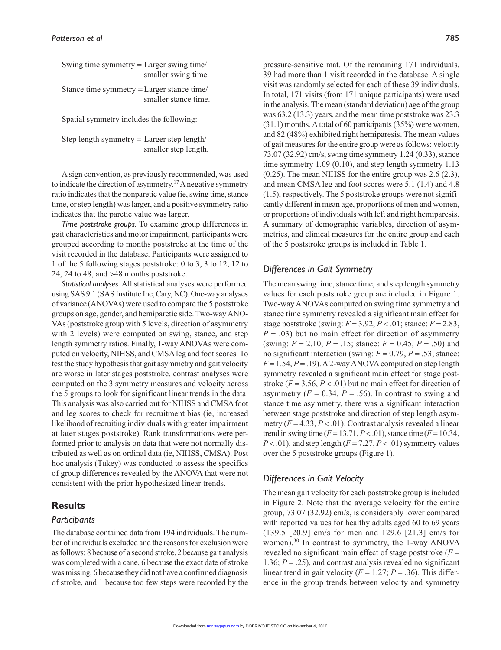| Swing time symmetry = Larger swing time/<br>smaller swing time.    |
|--------------------------------------------------------------------|
| Stance time symmetry = Larger stance time/<br>smaller stance time. |

Spatial symmetry includes the following:

Step length symmetry = Larger step length/ smaller step length.

A sign convention, as previously recommended, was used to indicate the direction of asymmetry.<sup>17</sup> A negative symmetry ratio indicates that the nonparetic value (ie, swing time, stance time, or step length) was larger, and a positive symmetry ratio indicates that the paretic value was larger.

*Time poststroke groups.* To examine group differences in gait characteristics and motor impairment, participants were grouped according to months poststroke at the time of the visit recorded in the database. Participants were assigned to 1 of the 5 following stages poststroke: 0 to 3, 3 to 12, 12 to 24, 24 to 48, and >48 months poststroke.

*Statistical analyses.* All statistical analyses were performed using SAS 9.1 (SAS Institute Inc, Cary, NC). One-way analyses of variance (ANOVAs) were used to compare the 5 poststroke groups on age, gender, and hemiparetic side. Two-way ANO-VAs (poststroke group with 5 levels, direction of asymmetry with 2 levels) were computed on swing, stance, and step length symmetry ratios. Finally, 1-way ANOVAs were computed on velocity, NIHSS, and CMSA leg and foot scores. To test the study hypothesis that gait asymmetry and gait velocity are worse in later stages poststroke, contrast analyses were computed on the 3 symmetry measures and velocity across the 5 groups to look for significant linear trends in the data. This analysis was also carried out for NIHSS and CMSA foot and leg scores to check for recruitment bias (ie, increased likelihood of recruiting individuals with greater impairment at later stages poststroke). Rank transformations were performed prior to analysis on data that were not normally distributed as well as on ordinal data (ie, NIHSS, CMSA). Post hoc analysis (Tukey) was conducted to assess the specifics of group differences revealed by the ANOVA that were not consistent with the prior hypothesized linear trends.

## **Results**

#### *Participants*

The database contained data from 194 individuals. The number of individuals excluded and the reasons for exclusion were as follows: 8 because of a second stroke, 2 because gait analysis was completed with a cane, 6 because the exact date of stroke was missing, 6 because they did not have a confirmed diagnosis of stroke, and 1 because too few steps were recorded by the pressure-sensitive mat. Of the remaining 171 individuals, 39 had more than 1 visit recorded in the database. A single visit was randomly selected for each of these 39 individuals. In total, 171 visits (from 171 unique participants) were used in the analysis. The mean (standard deviation) age of the group was 63.2 (13.3) years, and the mean time poststroke was 23.3 (31.1) months. A total of 60 participants (35%) were women, and 82 (48%) exhibited right hemiparesis. The mean values of gait measures for the entire group were as follows: velocity 73.07 (32.92) cm/s, swing time symmetry 1.24 (0.33), stance time symmetry 1.09 (0.10), and step length symmetry 1.13 (0.25). The mean NIHSS for the entire group was 2.6 (2.3), and mean CMSA leg and foot scores were 5.1 (1.4) and 4.8 (1.5), respectively. The 5 poststroke groups were not significantly different in mean age, proportions of men and women, or proportions of individuals with left and right hemiparesis. A summary of demographic variables, direction of asymmetries, and clinical measures for the entire group and each of the 5 poststroke groups is included in Table 1.

## *Differences in Gait Symmetry*

The mean swing time, stance time, and step length symmetry values for each poststroke group are included in Figure 1. Two-way ANOVAs computed on swing time symmetry and stance time symmetry revealed a significant main effect for stage poststroke (swing: *F* = 3.92, *P* < .01; stance: *F* = 2.83,  $P = .03$ ) but no main effect for direction of asymmetry (swing: *F* = 2.10, *P* = .15; stance: *F* = 0.45, *P* = .50) and no significant interaction (swing:  $F = 0.79$ ,  $P = .53$ ; stance:  $F = 1.54$ ,  $P = .19$ ). A 2-way ANOVA computed on step length symmetry revealed a significant main effect for stage poststroke  $(F = 3.56, P < .01)$  but no main effect for direction of asymmetry  $(F = 0.34, P = .56)$ . In contrast to swing and stance time asymmetry, there was a significant interaction between stage poststroke and direction of step length asymmetry (*F* = 4.33, *P* < .01). Contrast analysis revealed a linear trend in swing time  $(F = 13.71, P < .01)$ , stance time  $(F = 10.34,$  $P < .01$ ), and step length ( $F = 7.27$ ,  $P < .01$ ) symmetry values over the 5 poststroke groups (Figure 1).

## *Differences in Gait Velocity*

The mean gait velocity for each poststroke group is included in Figure 2. Note that the average velocity for the entire group, 73.07 (32.92) cm/s, is considerably lower compared with reported values for healthy adults aged 60 to 69 years (139.5 [20.9] cm/s for men and 129.6 [21.3] cm/s for women).<sup>30</sup> In contrast to symmetry, the 1-way ANOVA revealed no significant main effect of stage poststroke (*F* = 1.36; *P* = .25), and contrast analysis revealed no significant linear trend in gait velocity  $(F = 1.27; P = .36)$ . This difference in the group trends between velocity and symmetry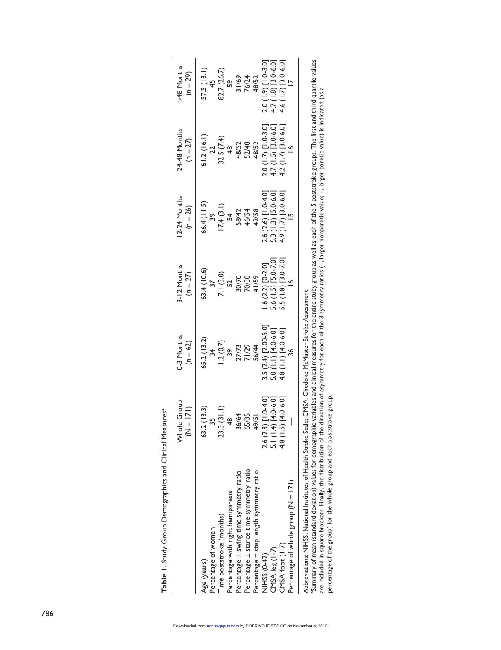|                                                                                                                                                                                                                                                                                                                                            | Whole Group<br>$= 171$<br>$\leq$                                                                                                                            | 0-3 Months<br>$(n = 62)$                                                                                                                                     | 3-12 Months<br>$(n = 27)$                                                                                                             | 2-24 Months<br>$(n = 26)$                                                                                                                | 24-48 Months<br>$(n = 27)$                                                                                                                                          | >48 Months<br>$(n = 29)$                                                                                                            |
|--------------------------------------------------------------------------------------------------------------------------------------------------------------------------------------------------------------------------------------------------------------------------------------------------------------------------------------------|-------------------------------------------------------------------------------------------------------------------------------------------------------------|--------------------------------------------------------------------------------------------------------------------------------------------------------------|---------------------------------------------------------------------------------------------------------------------------------------|------------------------------------------------------------------------------------------------------------------------------------------|---------------------------------------------------------------------------------------------------------------------------------------------------------------------|-------------------------------------------------------------------------------------------------------------------------------------|
| Percentage $\pm$ stance time symmetry ratio<br>Percentage $\pm$ swing time symmetry ratio<br>Percentage $\pm$ step length symmetry ratio<br>Percentage of whole group (N = 171)<br>Percentage with right hemiparesis<br>ime poststroke (months)<br>Percentage of women<br>CMSA foot (1-7)<br>CMSA leg (1-7)<br>NIHSS (0-42)<br>Age (years) | $5.1(1.4)[4.0-6.0]$<br>$2.6(2.3)$ [1.0-4.0]<br>$4.8(1.5)$ [4.0-6.0]<br>3(31.1)<br>2(13.3)<br>36/64<br>65/35<br>49/51<br>$rac{8}{4}$<br>$\overline{3}$<br>23 | $3.5(2.4)[2.00-5.0]$<br>5.0 (1.1) [4.0-6.0]<br>4.8 (1.1) [4.0-6.0]<br>65.2 (13.2)<br>$1.2(0.7)$<br>39<br>27/73<br>71/29<br>56/44<br>$\overline{\mathbf{34}}$ | 6 (2.2) [0-2.0]<br>5.6 (  .5) [5.0-7.0]<br>5.5 (  .8) [3.0-7.0]<br>$63.4(10.6)$<br>$37$<br>7.1 (3.0)<br>52<br>30/70<br>70/30<br>41/59 | 2.6 (2.6) [1.0-4.0]<br>5.3 (1.3) [5.0-6.0]<br>4.9 (1.7) [3.0-6.0]<br>66.4 (11.5)<br>39<br>$17.4(3.1)$<br>$54$<br>58/42<br>46/54<br>42/58 | 2.0 (1.7) [1.0-3.0]<br>4.7 (1.5) [3.0-6.0]<br>4.2 (1.7) [3.0-6.0]<br>51.2(16.1)<br>$\begin{array}{c} 22 \\ 32.5 (7.4) \\ 48 \end{array}$<br>52/48<br>48/52<br>48/52 | 2.0 (1.9) [1.0-3.0]<br>4.7 (1.8) [3.0-6.0]<br>$1.6(1.7)$ [3.0-6.0]<br>82.7 (26.7)<br>5(13.1)<br>31/69<br>76/24<br>48/52<br>45<br>59 |
| Abbreviations: NIHSS, National Institutes of Health Stroke Scale: CMSA, Chedoke McMaster Stroke Assessment                                                                                                                                                                                                                                 |                                                                                                                                                             |                                                                                                                                                              |                                                                                                                                       |                                                                                                                                          |                                                                                                                                                                     |                                                                                                                                     |

Table 1. Study Group Demographics and Clinical Measures<sup>a</sup> **Table 1.** Study Group Demographics and Clinical Measures<sup>a</sup> "Summary of mean (standard deviation) values for demographic variables and clinical measures for the entire study group as well as each of the 5 poststroke groups. The first and third quartile values<br>are included in square Summary of mean (standard deviation) values for demographic variables and clinical measures for the entire yaroup as well as each of the 5 poststroke groups. The first and third quartile values are included in square brackets. Finally, the distribution of the direction of asymmetry for each of the 3 symmetry ratios (−, larger nonparetic value; +, larger paretic value) is indicated (as a percentage of the group) for the whole group and each poststroke group.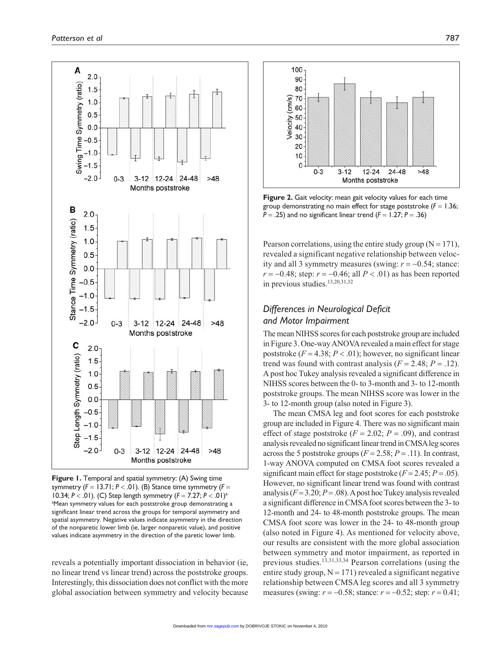

**Figure 1.** Temporal and spatial symmetry: (A) Swing time symmetry (*F* = 13.71; *P* < .01). (B) Stance time symmetry (*F* = 10.34; *P* < .01). (C) Step length symmetry (*F* = 7.27; *P* < .01)a <sup>a</sup>Mean symmetry values for each poststroke group demonstrating a significant linear trend across the groups for temporal asymmetry and spatial asymmetry. Negative values indicate asymmetry in the direction of the nonparetic lower limb (ie, larger nonparetic value), and positive values indicate asymmetry in the direction of the paretic lower limb.

reveals a potentially important dissociation in behavior (ie, no linear trend vs linear trend) across the poststroke groups. Interestingly, this dissociation does not conflict with the more global association between symmetry and velocity because



**Figure 2.** Gait velocity: mean gait velocity values for each time group demonstrating no main effect for stage poststroke (*F* = 1.36; *P* = .25) and no significant linear trend (*F* = 1.27; *P* = .36)

Pearson correlations, using the entire study group  $(N = 171)$ , revealed a significant negative relationship between velocity and all 3 symmetry measures (swing: *r* = −0.54; stance: *r* = −0.48; step: *r* = −0.46; all *P* < .01) as has been reported in previous studies.<sup>13,20,31,32</sup>

## *Differences in Neurological Deficit and Motor Impairment*

The mean NIHSS scores for each poststroke group are included in Figure 3. One-way ANOVA revealed a main effect for stage poststroke  $(F = 4.38; P < .01)$ ; however, no significant linear trend was found with contrast analysis  $(F = 2.48; P = .12)$ . A post hoc Tukey analysis revealed a significant difference in NIHSS scores between the 0- to 3-month and 3- to 12-month poststroke groups. The mean NIHSS score was lower in the 3- to 12-month group (also noted in Figure 3).

The mean CMSA leg and foot scores for each poststroke group are included in Figure 4. There was no significant main effect of stage poststroke  $(F = 2.02; P = .09)$ , and contrast analysis revealed no significant linear trend in CMSA leg scores across the 5 poststroke groups  $(F = 2.58; P = .11)$ . In contrast, 1-way ANOVA computed on CMSA foot scores revealed a significant main effect for stage poststroke  $(F = 2.45; P = .05)$ . However, no significant linear trend was found with contrast analysis  $(F = 3.20; P = .08)$ . A post hoc Tukey analysis revealed a significant difference in CMSA foot scores between the 3- to 12-month and 24- to 48-month poststroke groups. The mean CMSA foot score was lower in the 24- to 48-month group (also noted in Figure 4). As mentioned for velocity above, our results are consistent with the more global association between symmetry and motor impairment, as reported in previous studies.13,31,33,34 Pearson correlations (using the entire study group,  $N = 171$ ) revealed a significant negative relationship between CMSA leg scores and all 3 symmetry measures (swing: *r* = −0.58; stance: *r* = −0.52; step: *r* = 0.41;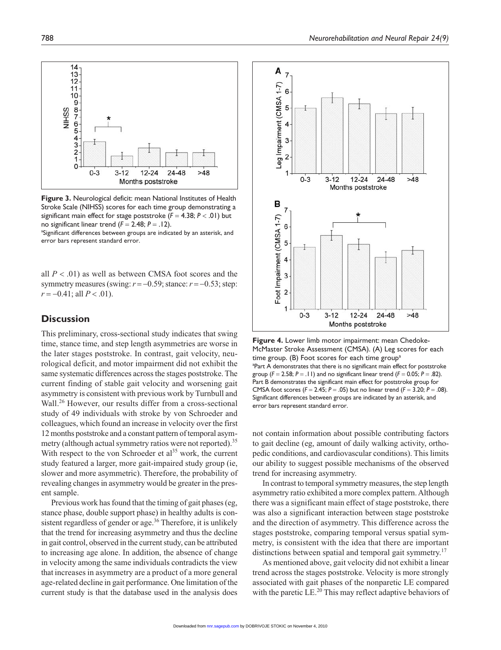A

 $\overline{7}$ 

6

**Figure 3.** Neurological deficit: mean National Institutes of Health Stroke Scale (NIHSS) scores for each time group demonstrating a significant main effect for stage poststroke (*F* = 4.38; *P* < .01) but no significant linear trend  $(F = 2.48; P = .12)$ .

<sup>a</sup>Significant differences between groups are indicated by an asterisk, and error bars represent standard error.

all  $P < .01$ ) as well as between CMSA foot scores and the symmetry measures (swing:  $r = -0.59$ ; stance:  $r = -0.53$ ; step:  $r = -0.41$ ; all  $P < .01$ ).

## **Discussion**

This preliminary, cross-sectional study indicates that swing time, stance time, and step length asymmetries are worse in the later stages poststroke. In contrast, gait velocity, neurological deficit, and motor impairment did not exhibit the same systematic differences across the stages poststroke. The current finding of stable gait velocity and worsening gait asymmetry is consistent with previous work by Turnbull and Wall.<sup>26</sup> However, our results differ from a cross-sectional study of 49 individuals with stroke by von Schroeder and colleagues, which found an increase in velocity over the first 12 months poststroke and a constant pattern of temporal asymmetry (although actual symmetry ratios were not reported).<sup>35</sup> With respect to the von Schroeder et  $al<sup>35</sup>$  work, the current study featured a larger, more gait-impaired study group (ie, slower and more asymmetric). Therefore, the probability of revealing changes in asymmetry would be greater in the present sample.

Previous work has found that the timing of gait phases (eg, stance phase, double support phase) in healthy adults is consistent regardless of gender or age.<sup>36</sup> Therefore, it is unlikely that the trend for increasing asymmetry and thus the decline in gait control, observed in the current study, can be attributed to increasing age alone. In addition, the absence of change in velocity among the same individuals contradicts the view that increases in asymmetry are a product of a more general age-related decline in gait performance. One limitation of the current study is that the database used in the analysis does



not contain information about possible contributing factors to gait decline (eg, amount of daily walking activity, orthopedic conditions, and cardiovascular conditions). This limits our ability to suggest possible mechanisms of the observed trend for increasing asymmetry.

In contrast to temporal symmetry measures, the step length asymmetry ratio exhibited a more complex pattern. Although there was a significant main effect of stage poststroke, there was also a significant interaction between stage poststroke and the direction of asymmetry. This difference across the stages poststroke, comparing temporal versus spatial symmetry, is consistent with the idea that there are important distinctions between spatial and temporal gait symmetry.<sup>17</sup>

As mentioned above, gait velocity did not exhibit a linear trend across the stages poststroke. Velocity is more strongly associated with gait phases of the nonparetic LE compared with the paretic LE.<sup>20</sup> This may reflect adaptive behaviors of



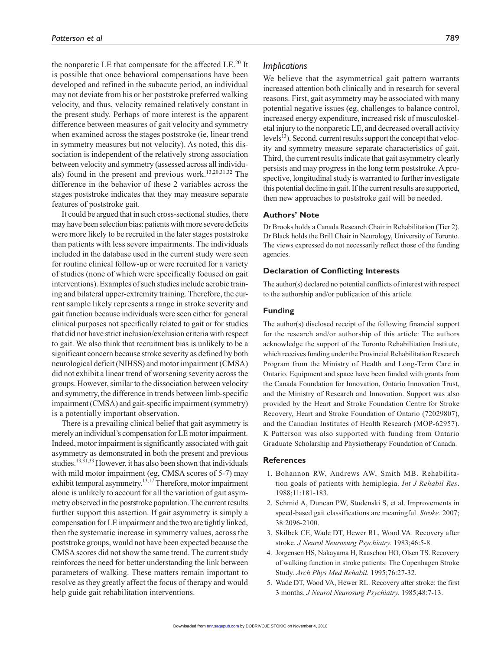the nonparetic LE that compensate for the affected LE.<sup>20</sup> It is possible that once behavioral compensations have been developed and refined in the subacute period, an individual may not deviate from his or her poststroke preferred walking velocity, and thus, velocity remained relatively constant in the present study. Perhaps of more interest is the apparent difference between measures of gait velocity and symmetry when examined across the stages poststroke (ie, linear trend in symmetry measures but not velocity). As noted, this dissociation is independent of the relatively strong association between velocity and symmetry (assessed across all individuals) found in the present and previous work.13,20,31,32 The difference in the behavior of these 2 variables across the stages poststroke indicates that they may measure separate features of poststroke gait.

It could be argued that in such cross-sectional studies, there may have been selection bias: patients with more severe deficits were more likely to be recruited in the later stages poststroke than patients with less severe impairments. The individuals included in the database used in the current study were seen for routine clinical follow-up or were recruited for a variety of studies (none of which were specifically focused on gait interventions). Examples of such studies include aerobic training and bilateral upper-extremity training. Therefore, the current sample likely represents a range in stroke severity and gait function because individuals were seen either for general clinical purposes not specifically related to gait or for studies that did not have strict inclusion/exclusion criteria with respect to gait. We also think that recruitment bias is unlikely to be a significant concern because stroke severity as defined by both neurological deficit (NIHSS) and motor impairment (CMSA) did not exhibit a linear trend of worsening severity across the groups. However, similar to the dissociation between velocity and symmetry, the difference in trends between limb-specific impairment (CMSA) and gait-specific impairment (symmetry) is a potentially important observation.

There is a prevailing clinical belief that gait asymmetry is merely an individual's compensation for LE motor impairment. Indeed, motor impairment is significantly associated with gait asymmetry as demonstrated in both the present and previous studies.13,31,33 However, it has also been shown that individuals with mild motor impairment (eg, CMSA scores of 5-7) may exhibit temporal asymmetry.<sup>13,17</sup> Therefore, motor impairment alone is unlikely to account for all the variation of gait asymmetry observed in the poststroke population. The current results further support this assertion. If gait asymmetry is simply a compensation for LE impairment and the two are tightly linked, then the systematic increase in symmetry values, across the poststroke groups, would not have been expected because the CMSA scores did not show the same trend. The current study reinforces the need for better understanding the link between parameters of walking. These matters remain important to resolve as they greatly affect the focus of therapy and would help guide gait rehabilitation interventions.

## *Implications*

We believe that the asymmetrical gait pattern warrants increased attention both clinically and in research for several reasons. First, gait asymmetry may be associated with many potential negative issues (eg, challenges to balance control, increased energy expenditure, increased risk of musculoskeletal injury to the nonparetic LE, and decreased overall activity levels<sup>13</sup>). Second, current results support the concept that velocity and symmetry measure separate characteristics of gait. Third, the current results indicate that gait asymmetry clearly persists and may progress in the long term poststroke. A prospective, longitudinal study is warranted to further investigate this potential decline in gait. If the current results are supported, then new approaches to poststroke gait will be needed.

## **Authors' Note**

Dr Brooks holds a Canada Research Chair in Rehabilitation (Tier 2). Dr Black holds the Brill Chair in Neurology, University of Toronto. The views expressed do not necessarily reflect those of the funding agencies.

#### **Declaration of Conflicting Interests**

The author(s) declared no potential conflicts of interest with respect to the authorship and/or publication of this article.

### **Funding**

The author(s) disclosed receipt of the following financial support for the research and/or authorship of this article: The authors acknowledge the support of the Toronto Rehabilitation Institute, which receives funding under the Provincial Rehabilitation Research Program from the Ministry of Health and Long-Term Care in Ontario. Equipment and space have been funded with grants from the Canada Foundation for Innovation, Ontario Innovation Trust, and the Ministry of Research and Innovation. Support was also provided by the Heart and Stroke Foundation Centre for Stroke Recovery, Heart and Stroke Foundation of Ontario (72029807), and the Canadian Institutes of Health Research (MOP-62957). K Patterson was also supported with funding from Ontario Graduate Scholarship and Physiotherapy Foundation of Canada.

#### **References**

- 1. Bohannon RW, Andrews AW, Smith MB. Rehabilitation goals of patients with hemiplegia. *Int J Rehabil Res*. 1988;11:181-183.
- 2. Schmid A, Duncan PW, Studenski S, et al. Improvements in speed-based gait classifications are meaningful. *Stroke.* 2007; 38:2096-2100.
- 3. Skilbck CE, Wade DT, Hewer RL, Wood VA. Recovery after stroke. *J Neurol Neurosurg Psychiatry.* 1983;46:5-8.
- 4. Jorgensen HS, Nakayama H, Raaschou HO, Olsen TS. Recovery of walking function in stroke patients: The Copenhagen Stroke Study. *Arch Phys Med Rehabil.* 1995;76:27-32.
- 5. Wade DT, Wood VA, Hewer RL. Recovery after stroke: the first 3 months. *J Neurol Neurosurg Psychiatry.* 1985;48:7-13.